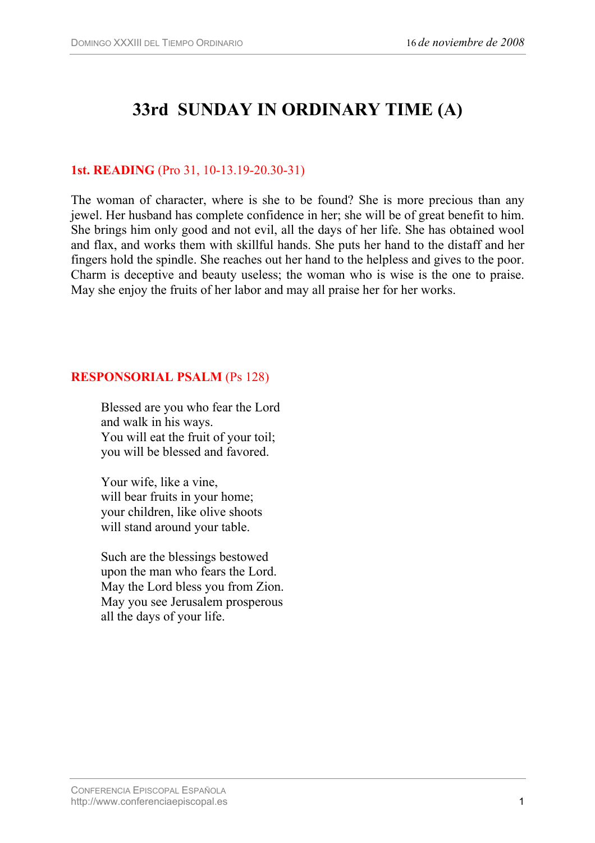# **33rd SUNDAY IN ORDINARY TIME (A)**

# **1st. READING** (Pro 31, 10-13.19-20.30-31)

The woman of character, where is she to be found? She is more precious than any jewel. Her husband has complete confidence in her; she will be of great benefit to him. She brings him only good and not evil, all the days of her life. She has obtained wool and flax, and works them with skillful hands. She puts her hand to the distaff and her fingers hold the spindle. She reaches out her hand to the helpless and gives to the poor. Charm is deceptive and beauty useless; the woman who is wise is the one to praise. May she enjoy the fruits of her labor and may all praise her for her works.

### **RESPONSORIAL PSALM** (Ps 128)

Blessed are you who fear the Lord and walk in his ways. You will eat the fruit of your toil; you will be blessed and favored.

Your wife, like a vine, will bear fruits in your home; your children, like olive shoots will stand around your table.

Such are the blessings bestowed upon the man who fears the Lord. May the Lord bless you from Zion. May you see Jerusalem prosperous all the days of your life.